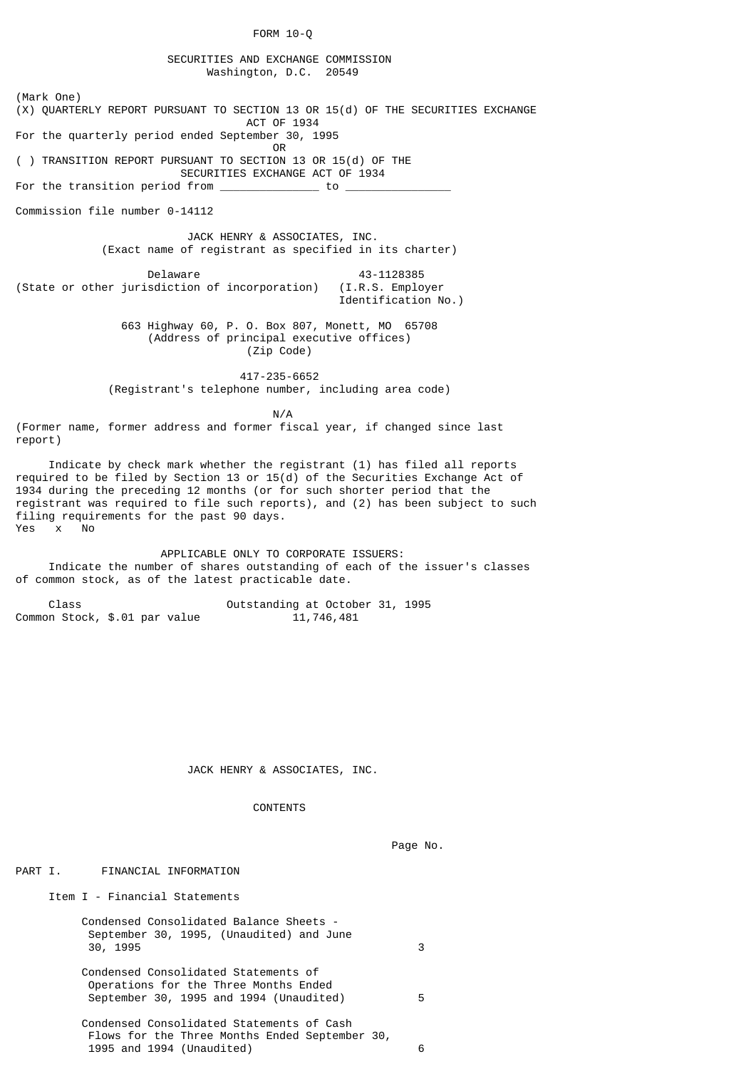FORM 10-Q

 SECURITIES AND EXCHANGE COMMISSION Washington, D.C. 20549

(Mark One) (X) QUARTERLY REPORT PURSUANT TO SECTION 13 OR 15(d) OF THE SECURITIES EXCHANGE ACT OF 1934 For the quarterly period ended September 30, 1995 **OR** Service of the state of the state of the state of the state of the state of the state of the state of the state of the state of the state of the state of the state of the state of the state of the state of the state o ( ) TRANSITION REPORT PURSUANT TO SECTION 13 OR 15(d) OF THE SECURITIES EXCHANGE ACT OF 1934

For the transition period from  $\overline{\phantom{a}}$ 

Commission file number 0-14112

JACK HENRY & ASSOCIATES, INC.

(Exact name of registrant as specified in its charter)

Delaware 43-1128385 (State or other jurisdiction of incorporation) (I.R.S. Employer Identification No.)

> 663 Highway 60, P. O. Box 807, Monett, MO 65708 (Address of principal executive offices) (Zip Code)

 417-235-6652 (Registrant's telephone number, including area code)

N/A

(Former name, former address and former fiscal year, if changed since last report)

 Indicate by check mark whether the registrant (1) has filed all reports required to be filed by Section 13 or 15(d) of the Securities Exchange Act of 1934 during the preceding 12 months (or for such shorter period that the registrant was required to file such reports), and (2) has been subject to such filing requirements for the past 90 days. Yes x No

 APPLICABLE ONLY TO CORPORATE ISSUERS: Indicate the number of shares outstanding of each of the issuer's classes of common stock, as of the latest practicable date.

 Class Outstanding at October 31, 1995 Common Stock, \$.01 par value

JACK HENRY & ASSOCIATES, INC.

**CONTENTS** 

Page No.

PART I. FINANCIAL INFORMATION

Item I - Financial Statements

 Condensed Consolidated Balance Sheets - September 30, 1995, (Unaudited) and June 30, 1995 3 Condensed Consolidated Statements of

 Operations for the Three Months Ended September 30, 1995 and 1994 (Unaudited) 5

 Condensed Consolidated Statements of Cash Flows for the Three Months Ended September 30, 1995 and 1994 (Unaudited) 6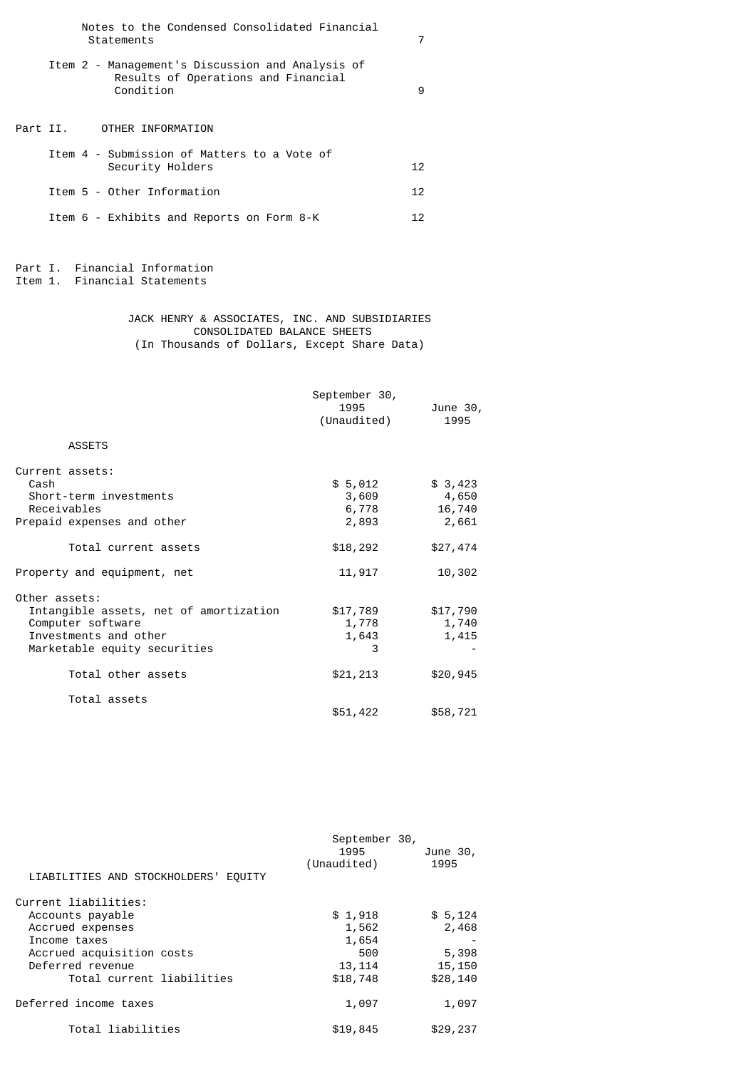|  | Notes to the Condensed Consolidated Financial<br>Statements                                          | 7               |
|--|------------------------------------------------------------------------------------------------------|-----------------|
|  | Item 2 - Management's Discussion and Analysis of<br>Results of Operations and Financial<br>Condition | 9               |
|  | Part II.       OTHER INFORMATION                                                                     |                 |
|  | Item 4 - Submission of Matters to a Vote of<br>Security Holders                                      | 12 <sup>7</sup> |
|  | Item 5 - Other Information                                                                           | 12              |
|  | Item 6 - Exhibits and Reports on Form 8-K                                                            | 12              |

Part I. Financial Information Item 1. Financial Statements

Part

# JACK HENRY & ASSOCIATES, INC. AND SUBSIDIARIES CONSOLIDATED BALANCE SHEETS (In Thousands of Dollars, Except Share Data)

|                                                                                                                                       | September 30,<br>1995<br>(Unaudited) | June 30,<br>1995                    |
|---------------------------------------------------------------------------------------------------------------------------------------|--------------------------------------|-------------------------------------|
| <b>ASSETS</b>                                                                                                                         |                                      |                                     |
| Current assets:<br>Cash<br>Short-term investments<br>Receivables<br>Prepaid expenses and other                                        | \$5,012<br>3,609<br>6,778<br>2,893   | \$3,423<br>4,650<br>16,740<br>2,661 |
| Total current assets                                                                                                                  | \$18,292                             | \$27,474                            |
| Property and equipment, net                                                                                                           | 11,917                               | 10,302                              |
| Other assets:<br>Intangible assets, net of amortization<br>Computer software<br>Investments and other<br>Marketable equity securities | \$17,789<br>1,778<br>1,643<br>3      | \$17,790<br>1,740<br>1,415          |
| Total other assets                                                                                                                    | \$21,213                             | \$20,945                            |
| Total assets                                                                                                                          | \$51,422                             | \$58,721                            |

| LIABILITIES AND STOCKHOLDERS' EQUITY | September 30,<br>1995<br>(Unaudited) | June 30,<br>1995 |
|--------------------------------------|--------------------------------------|------------------|
| Current liabilities:                 |                                      |                  |
| Accounts payable                     | \$1,918                              | \$5,124          |
| Accrued expenses                     | 1,562                                | 2,468            |
| Income taxes                         | 1,654                                |                  |
| Accrued acquisition costs            | 500                                  | 5,398            |
| Deferred revenue                     | 13, 114                              | 15,150           |
| Total current liabilities            | \$18,748                             | \$28,140         |
|                                      |                                      |                  |
| Deferred income taxes                | 1,097                                | 1,097            |
| Total liabilities                    | \$19,845                             | \$29,237         |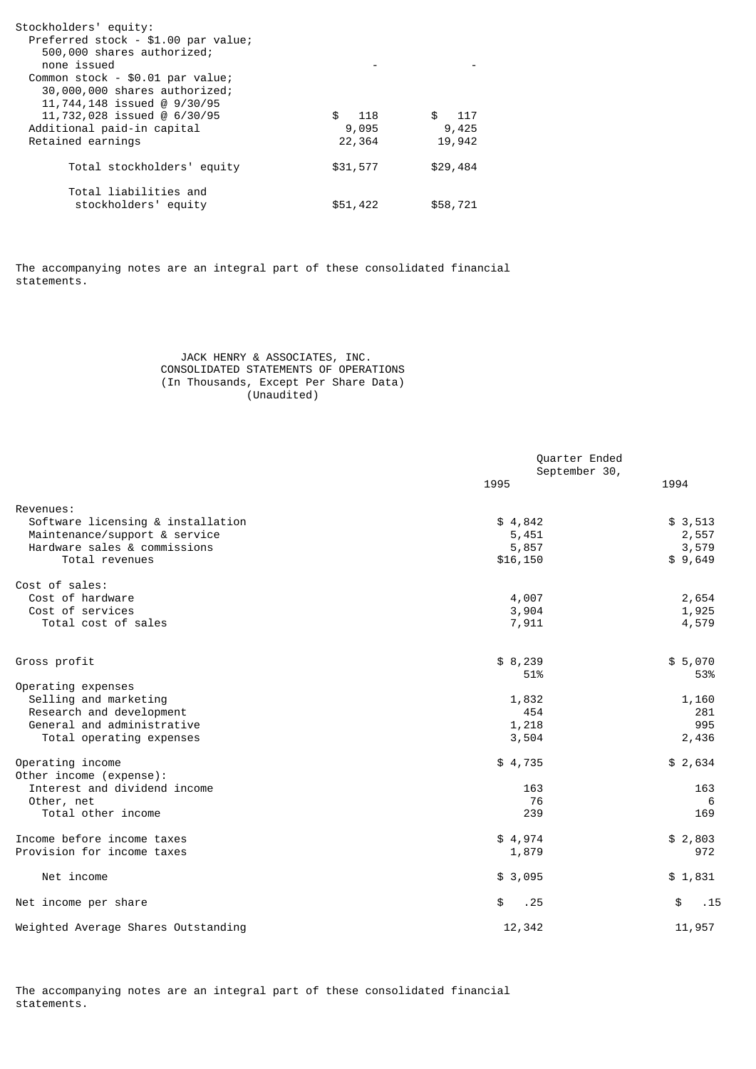| Stockholders' equity:<br>Preferred stock - \$1.00 par value;<br>500,000 shares authorized;<br>none issued<br>Common stock - \$0.01 par value;<br>30,000,000 shares authorized;<br>11,744,148 issued @ 9/30/95 |          |          |
|---------------------------------------------------------------------------------------------------------------------------------------------------------------------------------------------------------------|----------|----------|
| 11,732,028 issued @ 6/30/95                                                                                                                                                                                   | \$ 118   | \$ 117   |
| Additional paid-in capital                                                                                                                                                                                    | 9,095    | 9,425    |
| Retained earnings                                                                                                                                                                                             | 22,364   | 19,942   |
| Total stockholders' equity                                                                                                                                                                                    | \$31,577 | \$29,484 |
| Total liabilities and<br>stockholders' equity                                                                                                                                                                 | \$51,422 | \$58,721 |

The accompanying notes are an integral part of these consolidated financial statements.

# JACK HENRY & ASSOCIATES, INC. CONSOLIDATED STATEMENTS OF OPERATIONS (In Thousands, Except Per Share Data) (Unaudited)

|                                                               | Quarter Ended<br>September 30, |                |
|---------------------------------------------------------------|--------------------------------|----------------|
|                                                               | 1995                           | 1994           |
| Revenues:<br>Software licensing & installation                | \$4,842                        | \$3,513        |
| Maintenance/support & service<br>Hardware sales & commissions | 5,451<br>5,857                 | 2,557<br>3,579 |
| Total revenues                                                | \$16,150                       | \$9,649        |
| Cost of sales:<br>Cost of hardware                            | 4,007                          | 2,654          |
| Cost of services<br>Total cost of sales                       | 3,904<br>7,911                 | 1,925<br>4,579 |
| Gross profit                                                  | \$8,239                        | \$5,070        |
| Operating expenses<br>Selling and marketing                   | 51%<br>1,832                   | 53%<br>1,160   |
| Research and development<br>General and administrative        | 454<br>1,218                   | 281<br>995     |
| Total operating expenses                                      | 3,504                          | 2,436          |
| Operating income<br>Other income (expense):                   | \$4,735                        | \$2,634        |
| Interest and dividend income<br>Other, net                    | 163<br>76                      | 163<br>6       |
| Total other income                                            | 239                            | 169            |
| Income before income taxes<br>Provision for income taxes      | \$4,974<br>1,879               | \$2,803<br>972 |
| Net income                                                    | \$3,095                        | \$1,831        |
| Net income per share                                          | \$<br>.25                      | \$<br>.15      |
|                                                               |                                |                |
| Weighted Average Shares Outstanding                           | 12,342                         | 11,957         |

The accompanying notes are an integral part of these consolidated financial statements.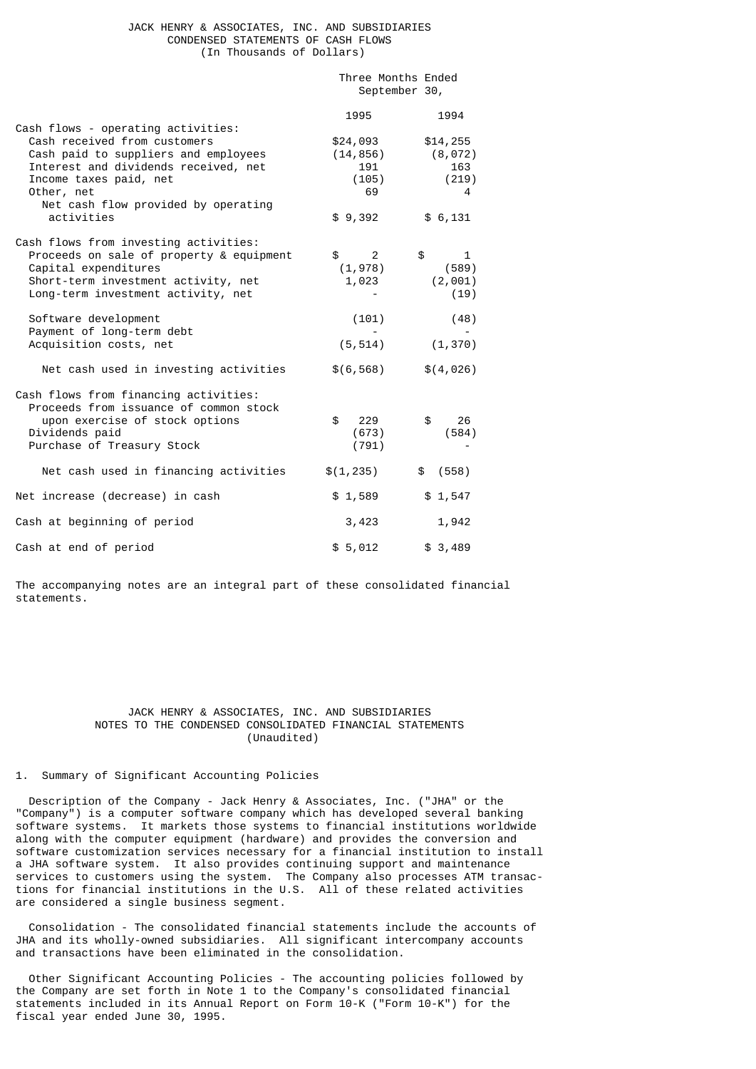# JACK HENRY & ASSOCIATES, INC. AND SUBSIDIARIES CONDENSED STATEMENTS OF CASH FLOWS (In Thousands of Dollars)

| Three Months Ended |  |
|--------------------|--|
| September 30,      |  |

|                                                                                                                                                                                            | 1995                                                | 1994                                      |
|--------------------------------------------------------------------------------------------------------------------------------------------------------------------------------------------|-----------------------------------------------------|-------------------------------------------|
| Cash flows - operating activities:<br>Cash received from customers<br>Cash paid to suppliers and employees<br>Interest and dividends received, net<br>Income taxes paid, net<br>Other, net | \$24,093<br>(14, 856)<br>191<br>(105)<br>69         | \$14,255<br>(8, 072)<br>163<br>(219)<br>4 |
| Net cash flow provided by operating<br>activities                                                                                                                                          | \$9,392                                             | \$6,131                                   |
| Cash flows from investing activities:<br>Proceeds on sale of property & equipment<br>Capital expenditures<br>Short-term investment activity, net<br>Long-term investment activity, net     | $\mathfrak s$<br>$\overline{2}$<br>(1,978)<br>1,023 | \$<br>1<br>(589)<br>(2,001)<br>(19)       |
| Software development<br>Payment of long-term debt<br>Acquisition costs, net                                                                                                                | (101)<br>(5, 514)                                   | (48)<br>(1, 370)                          |
| Net cash used in investing activities                                                                                                                                                      | \$(6, 568)                                          | \$(4,026)                                 |
| Cash flows from financing activities:<br>Proceeds from issuance of common stock<br>upon exercise of stock options<br>Dividends paid<br>Purchase of Treasury Stock                          | $\mathbf{s}$<br>229<br>(673)<br>(791)               | \$<br>26<br>(584)                         |
| Net cash used in financing activities                                                                                                                                                      | \$(1, 235)                                          | (558)<br>\$                               |
| Net increase (decrease) in cash                                                                                                                                                            | \$1,589                                             | \$1,547                                   |
| Cash at beginning of period                                                                                                                                                                | 3,423                                               | 1,942                                     |
| Cash at end of period                                                                                                                                                                      | \$5,012                                             | \$3,489                                   |

The accompanying notes are an integral part of these consolidated financial statements.

# JACK HENRY & ASSOCIATES, INC. AND SUBSIDIARIES NOTES TO THE CONDENSED CONSOLIDATED FINANCIAL STATEMENTS (Unaudited)

## 1. Summary of Significant Accounting Policies

 Description of the Company - Jack Henry & Associates, Inc. ("JHA" or the "Company") is a computer software company which has developed several banking software systems. It markets those systems to financial institutions worldwide along with the computer equipment (hardware) and provides the conversion and software customization services necessary for a financial institution to install a JHA software system. It also provides continuing support and maintenance services to customers using the system. The Company also processes ATM transactions for financial institutions in the U.S. All of these related activities are considered a single business segment.

 Consolidation - The consolidated financial statements include the accounts of JHA and its wholly-owned subsidiaries. All significant intercompany accounts and transactions have been eliminated in the consolidation.

 Other Significant Accounting Policies - The accounting policies followed by the Company are set forth in Note 1 to the Company's consolidated financial statements included in its Annual Report on Form 10-K ("Form 10-K") for the fiscal year ended June 30, 1995.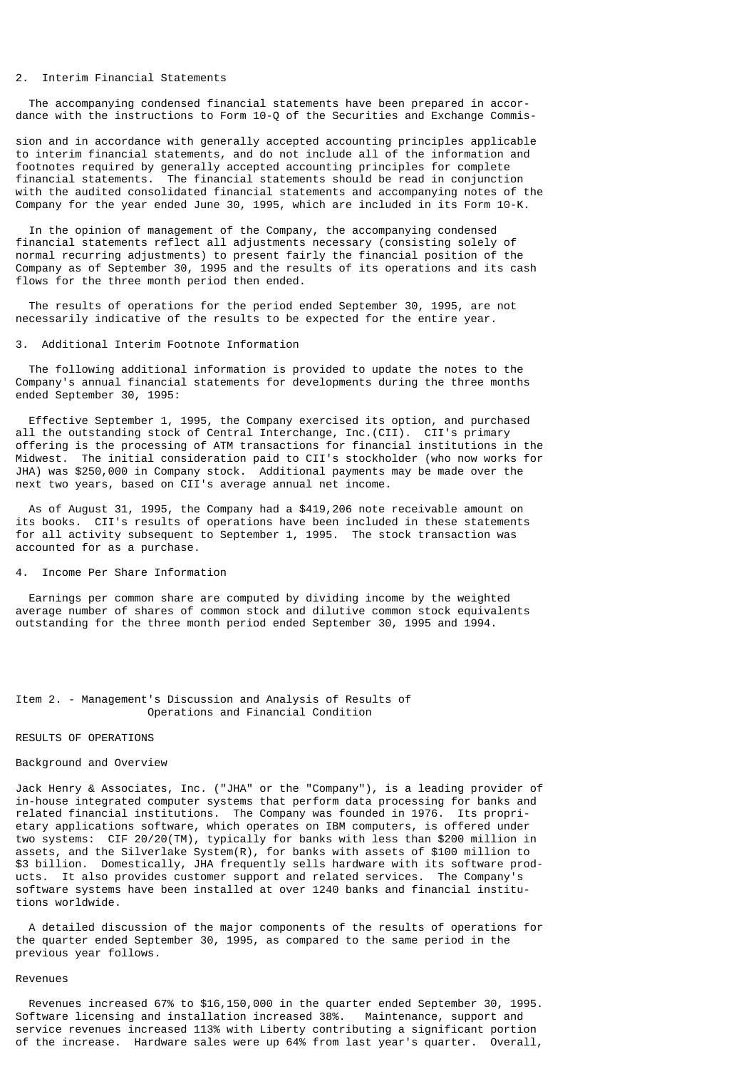## 2. Interim Financial Statements

 The accompanying condensed financial statements have been prepared in accordance with the instructions to Form 10-Q of the Securities and Exchange Commis-

sion and in accordance with generally accepted accounting principles applicable to interim financial statements, and do not include all of the information and footnotes required by generally accepted accounting principles for complete financial statements. The financial statements should be read in conjunction with the audited consolidated financial statements and accompanying notes of the Company for the year ended June 30, 1995, which are included in its Form 10-K.

 In the opinion of management of the Company, the accompanying condensed financial statements reflect all adjustments necessary (consisting solely of normal recurring adjustments) to present fairly the financial position of the Company as of September 30, 1995 and the results of its operations and its cash flows for the three month period then ended.

 The results of operations for the period ended September 30, 1995, are not necessarily indicative of the results to be expected for the entire year.

### 3. Additional Interim Footnote Information

 The following additional information is provided to update the notes to the Company's annual financial statements for developments during the three months ended September 30, 1995:

 Effective September 1, 1995, the Company exercised its option, and purchased all the outstanding stock of Central Interchange, Inc.(CII). CII's primary offering is the processing of ATM transactions for financial institutions in the Midwest. The initial consideration paid to CII's stockholder (who now works for JHA) was \$250,000 in Company stock. Additional payments may be made over the next two years, based on CII's average annual net income.

 As of August 31, 1995, the Company had a \$419,206 note receivable amount on its books. CII's results of operations have been included in these statements for all activity subsequent to September 1, 1995. The stock transaction was accounted for as a purchase.

4. Income Per Share Information

 Earnings per common share are computed by dividing income by the weighted average number of shares of common stock and dilutive common stock equivalents outstanding for the three month period ended September 30, 1995 and 1994.

## Item 2. - Management's Discussion and Analysis of Results of Operations and Financial Condition

## RESULTS OF OPERATIONS

## Background and Overview

Jack Henry & Associates, Inc. ("JHA" or the "Company"), is a leading provider of in-house integrated computer systems that perform data processing for banks and related financial institutions. The Company was founded in 1976. Its proprietary applications software, which operates on IBM computers, is offered under two systems: CIF 20/20(TM), typically for banks with less than \$200 million in assets, and the Silverlake System(R), for banks with assets of \$100 million to \$3 billion. Domestically, JHA frequently sells hardware with its software products. It also provides customer support and related services. The Company's software systems have been installed at over 1240 banks and financial institutions worldwide.

 A detailed discussion of the major components of the results of operations for the quarter ended September 30, 1995, as compared to the same period in the previous year follows.

### Revenues

 Revenues increased 67% to \$16,150,000 in the quarter ended September 30, 1995. Software licensing and installation increased 38%. Maintenance, support and service revenues increased 113% with Liberty contributing a significant portion of the increase. Hardware sales were up 64% from last year's quarter. Overall,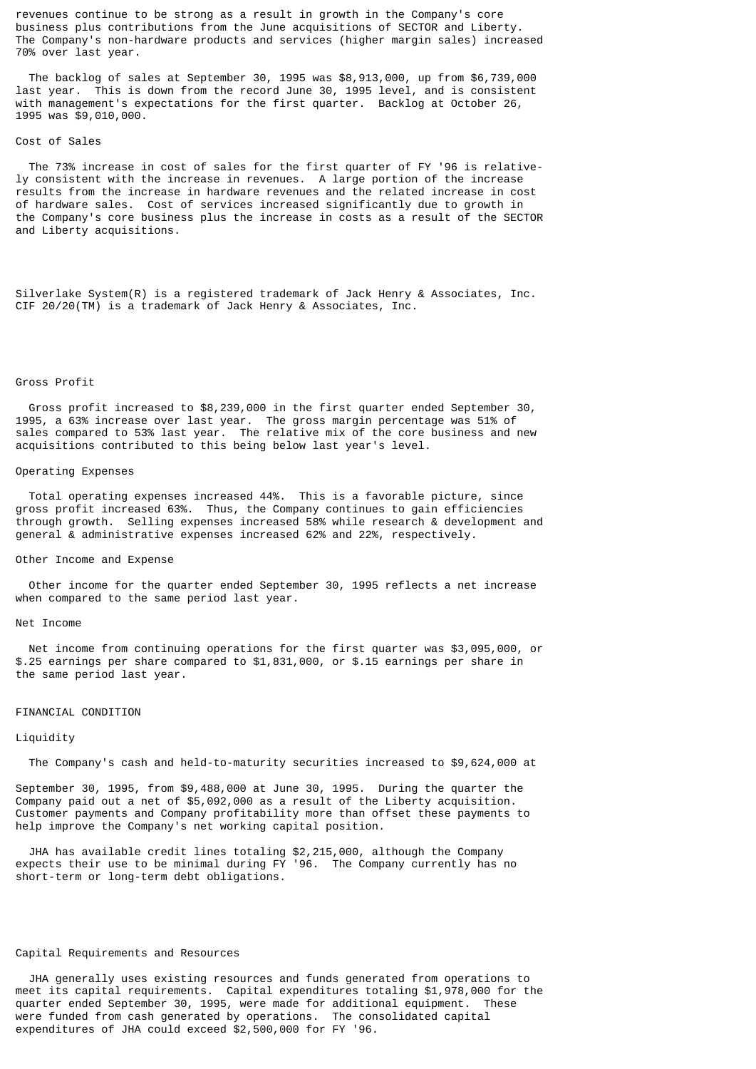revenues continue to be strong as a result in growth in the Company's core business plus contributions from the June acquisitions of SECTOR and Liberty. The Company's non-hardware products and services (higher margin sales) increased 70% over last year.

 The backlog of sales at September 30, 1995 was \$8,913,000, up from \$6,739,000 last year. This is down from the record June 30, 1995 level, and is consistent with management's expectations for the first quarter. Backlog at October 26, 1995 was \$9,010,000.

#### Cost of Sales

 The 73% increase in cost of sales for the first quarter of FY '96 is relatively consistent with the increase in revenues. A large portion of the increase results from the increase in hardware revenues and the related increase in cost of hardware sales. Cost of services increased significantly due to growth in the Company's core business plus the increase in costs as a result of the SECTOR and Liberty acquisitions.

Silverlake System(R) is a registered trademark of Jack Henry & Associates, Inc. CIF 20/20(TM) is a trademark of Jack Henry & Associates, Inc.

# Gross Profit

 Gross profit increased to \$8,239,000 in the first quarter ended September 30, 1995, a 63% increase over last year. The gross margin percentage was 51% of sales compared to 53% last year. The relative mix of the core business and new acquisitions contributed to this being below last year's level.

## Operating Expenses

 Total operating expenses increased 44%. This is a favorable picture, since gross profit increased 63%. Thus, the Company continues to gain efficiencies through growth. Selling expenses increased 58% while research & development and general & administrative expenses increased 62% and 22%, respectively.

### Other Income and Expense

 Other income for the quarter ended September 30, 1995 reflects a net increase when compared to the same period last year.

### Net Income

 Net income from continuing operations for the first quarter was \$3,095,000, or \$.25 earnings per share compared to \$1,831,000, or \$.15 earnings per share in the same period last year.

#### FINANCIAL CONDITION

## Liquidity

The Company's cash and held-to-maturity securities increased to \$9,624,000 at

September 30, 1995, from \$9,488,000 at June 30, 1995. During the quarter the Company paid out a net of \$5,092,000 as a result of the Liberty acquisition. Customer payments and Company profitability more than offset these payments to help improve the Company's net working capital position.

 JHA has available credit lines totaling \$2,215,000, although the Company expects their use to be minimal during FY '96. The Company currently has no short-term or long-term debt obligations.

### Capital Requirements and Resources

 JHA generally uses existing resources and funds generated from operations to meet its capital requirements. Capital expenditures totaling \$1,978,000 for the quarter ended September 30, 1995, were made for additional equipment. These were funded from cash generated by operations. The consolidated capital expenditures of JHA could exceed \$2,500,000 for FY '96.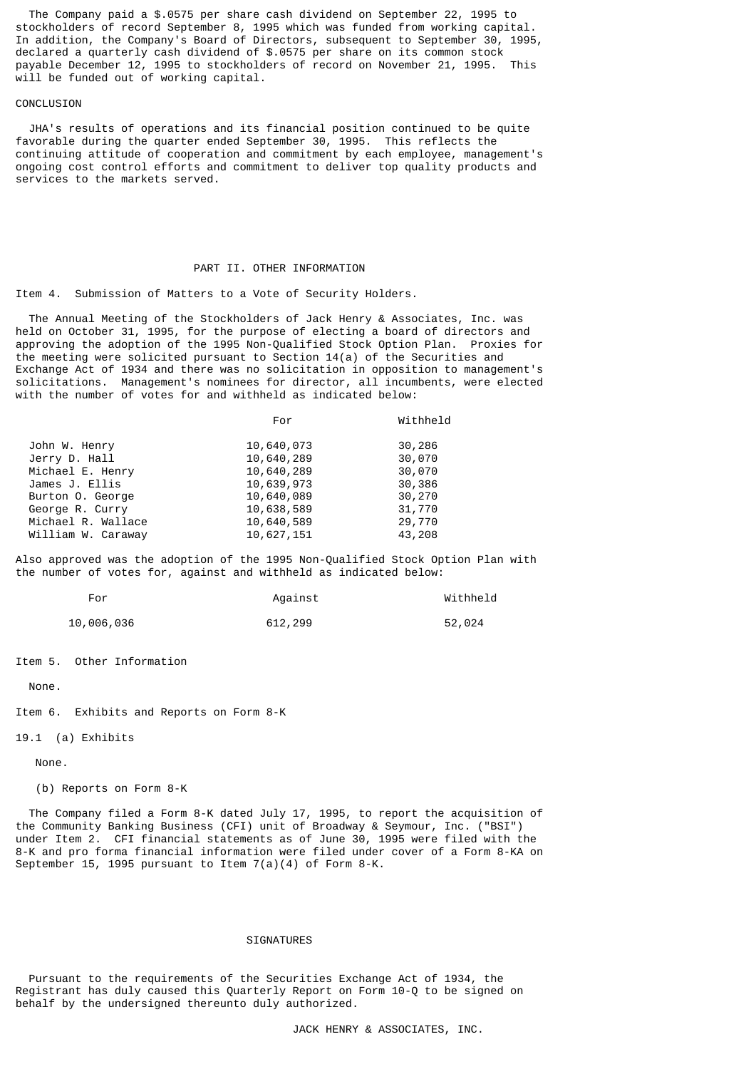The Company paid a \$.0575 per share cash dividend on September 22, 1995 to stockholders of record September 8, 1995 which was funded from working capital. In addition, the Company's Board of Directors, subsequent to September 30, 1995, declared a quarterly cash dividend of \$.0575 per share on its common stock payable December 12, 1995 to stockholders of record on November 21, 1995. This will be funded out of working capital.

## CONCLUSION

 JHA's results of operations and its financial position continued to be quite favorable during the quarter ended September 30, 1995. This reflects the continuing attitude of cooperation and commitment by each employee, management's ongoing cost control efforts and commitment to deliver top quality products and services to the markets served.

# PART II. OTHER INFORMATION

Item 4. Submission of Matters to a Vote of Security Holders.

 The Annual Meeting of the Stockholders of Jack Henry & Associates, Inc. was held on October 31, 1995, for the purpose of electing a board of directors and approving the adoption of the 1995 Non-Qualified Stock Option Plan. Proxies for the meeting were solicited pursuant to Section 14(a) of the Securities and Exchange Act of 1934 and there was no solicitation in opposition to management's solicitations. Management's nominees for director, all incumbents, were elected with the number of votes for and withheld as indicated below:

|                    | For        | Withheld |
|--------------------|------------|----------|
| John W. Henry      | 10,640,073 | 30,286   |
| Jerry D. Hall      | 10,640,289 | 30,070   |
| Michael E. Henry   | 10,640,289 | 30,070   |
| James J. Ellis     | 10,639,973 | 30,386   |
| Burton O. George   | 10,640,089 | 30,270   |
| George R. Curry    | 10,638,589 | 31,770   |
| Michael R. Wallace | 10,640,589 | 29,770   |
| William W. Caraway | 10,627,151 | 43,208   |

Also approved was the adoption of the 1995 Non-Qualified Stock Option Plan with the number of votes for, against and withheld as indicated below:

| For        | Against | Withheld |
|------------|---------|----------|
| 10,006,036 | 612,299 | 52,024   |

Item 5. Other Information

None.

Item 6. Exhibits and Reports on Form 8-K

19.1 (a) Exhibits

None.

(b) Reports on Form 8-K

 The Company filed a Form 8-K dated July 17, 1995, to report the acquisition of the Community Banking Business (CFI) unit of Broadway & Seymour, Inc. ("BSI") under Item 2. CFI financial statements as of June 30, 1995 were filed with the 8-K and pro forma financial information were filed under cover of a Form 8-KA on September 15, 1995 pursuant to Item  $7(a)(4)$  of Form 8-K.

# **SIGNATURES**

 Pursuant to the requirements of the Securities Exchange Act of 1934, the Registrant has duly caused this Quarterly Report on Form 10-Q to be signed on behalf by the undersigned thereunto duly authorized.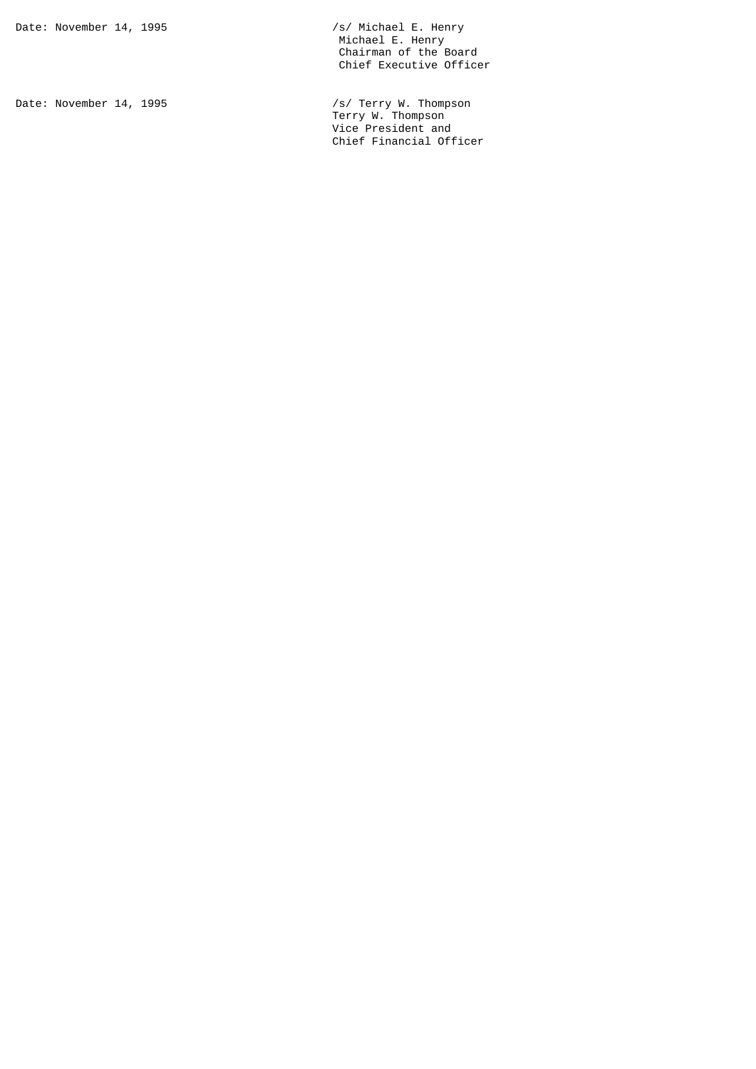Date: November 14, 1995 /s/ Terry W. Thompson Terry W. Thompson Vice President and Chief Financial Officer